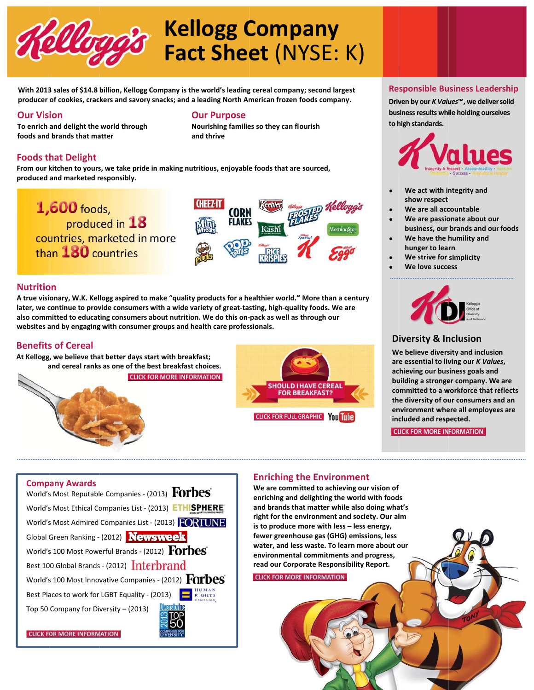

# **Kellogg Company Fact Sheet (NYSE: K)**

With 2013 sales of \$14.8 billion, Kellogg Company is the world's leading cereal company; second largest producer of cookies, crackers and savory snacks; and a leading North American frozen foods company.

### **Our Vision**

To enrich and delight the world through foods and brands that matter

### **Our Purpose**

Nourishing families so they can flourish and thrive

# **Foods that Delight**

From our kitchen to yours, we take pride in making nutritious, enjoyable foods that are sourced, produced and marketed responsibly.



### **Nutrition**

A true visionary, W.K. Kellogg aspired to make "quality products for a healthier world." More than a century later, we continue to provide consumers with a wide variety of great-tasting, high-quality foods. We are also committed to educating consumers about nutrition. We do this on-pack as well as through our websites and by engaging with consumer groups and health care professionals.

### **Benefits of Cereal**

At Kellogg, we believe that better days start with breakfast: and cereal ranks as one of the best breakfast choices. **CLICK FOR MORE INFORMATION** 





### **Responsible Business Leadership**

Driven by our K Values™, we deliver solid business results while holding ourselves to high standards.



- We act with integrity and show respect
- We are all accountable
- We are passionate about our business, our brands and our foods
- We have the humility and hunger to learn
- We strive for simplicity
- We love success



# **Diversity & Inclusion**

We believe diversity and inclusion are essential to living our K Values, achieving our business goals and building a stronger company. We are committed to a workforce that reflects the diversity of our consumers and an environment where all employees are included and respected.

**CLICK FOR MORE INFORMATION** 

# **Company Awards** World's Most Reputable Companies - (2013) Forbes World's Most Ethical Companies List - (2013) ETHISPHERE World's Most Admired Companies List - (2013) FORTUNE Global Green Ranking - (2012) Newsweek World's 100 Most Powerful Brands - (2012) FOrbes Best 100 Global Brands - (2012) Interbrand World's 100 Most Innovative Companies - (2012)  $\overline{Forbes}$ Best Places to work for LGBT Equality - (2013) Top 50 Company for Diversity - (2013)

**CLICK FOR MORE INFORMATION** 

# **Enriching the Environment**

We are committed to achieving our vision of enriching and delighting the world with foods and brands that matter while also doing what's right for the environment and society. Our aim is to produce more with less - less energy, fewer greenhouse gas (GHG) emissions, less water, and less waste. To learn more about our environmental commitments and progress, read our Corporate Responsibility Report.

**CLICK FOR MORE INFORMATION**